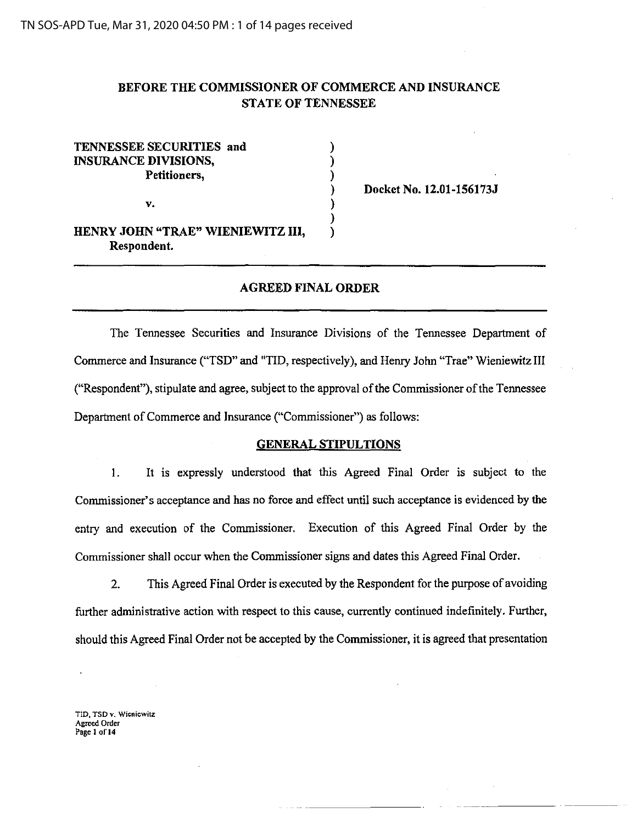# BEFORE THE COMMISSIONER OF COMMERCE AND INSURANCE STATE OF TENNESSEE

) ) ) ) ) ) )

# TENNESSEE SECURITIES and INSURANCE DIVISIONS, Petitioners,

v.

Docket No. 12.01-156173J

HENRY JOHN "TRAE" WIENIEWITZ III, Respondent.

## AGREED FINAL ORDER

The Tennessee Securities and Insurance Divisions of the Tennessee Department of Commerce and Insurance ('TSD" and "TID, respectively), and Henry John "Trae" Wieniewitz III ("Respondent"), stipulate and agree, subject to the approval of the Commissioner of the Tennessee Department of Commerce and Insurance ("Commissioner") as follows:

#### GENERAL STIPULTIONS

I. It is expressly understood that this Agreed Final Order is subject to the Commissioner's acceptance and has no force and effect until such acceptance is evidenced by the entry and execution of the Commissioner. Execution of this Agreed Final Order by the Commissioner shall occur when the Commissioner signs and dates this Agreed Final Order.

2. This Agreed Final Order is executed by the Respondent for the purpose of avoiding further administrative action with respect to this cause, currently continued indefinitely. Further, should this Agreed Final Order not be accepted by the Commissioner, it is agreed that presentation

TID, TSD v. Wieniewitz **Agreed Order Page 1 ofl4**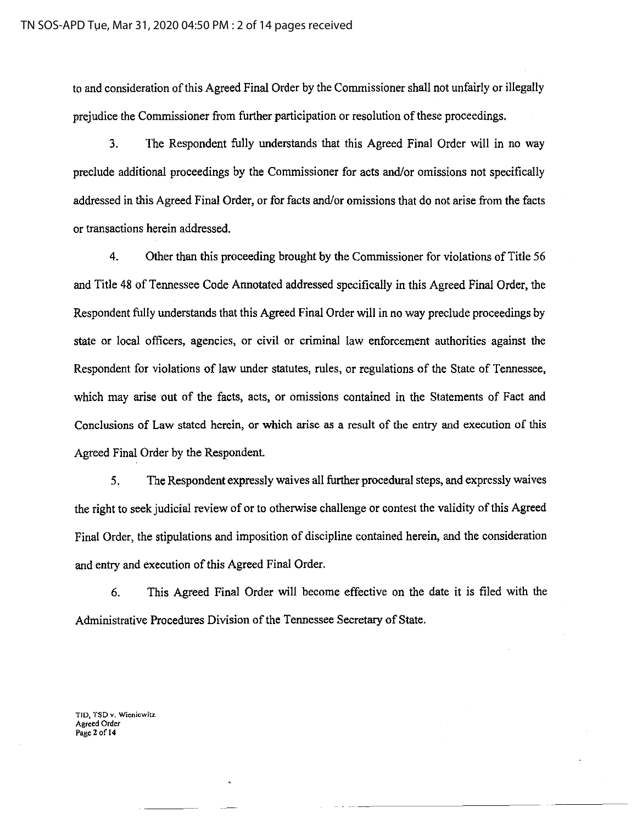to and consideration of this Agreed Final Order by the Commissioner shall not unfairly or illegally prejudice the Commissioner from further participation or resolution of these proceedings.

3. The Respondent fully understands that this Agreed Final Order will in no way preclude additional proceedings by the Commissioner for acts and/or omissions not specifically addressed in this Agreed Final Order, or for facts and/or omissions that do not arise from the facts or transactions herein addressed.

4. Other than this proceeding brought by the Commissioner for violations of Title 56 and Title 48 of Tennessee Code Annotated addressed specifically in this Agreed Final Order, the Respondent fully understands that this Agreed Final Order will in no way preclude proceedings by state or local officers, agencies, or civil or criminal law enforcement authorities against the Respondent for violations of law under statutes, rules, or regulations of the State of Tennessee, which may arise out of the facts, acts, or omissions contained in the Statements of Fact and Conclusions of Law stated herein, or which arise as a result of the entry and execution of this Agreed Final Order by the Respondent.

5. The Respondent expressly waives all further procedural steps, and expressly waives the right to seek judicial review of or to otherwise challenge or contest the validity of this Agreed Final Order, the stipulations and imposition of discipline contained herein, and the consideration and entry and execution of this Agreed Final Order.

6. This Agreed Final Order will become effective on the date it is filed with the Administrative Procedures Division of the Tennessee Secretary of State.

**TID, TSD** *v.* **Wicnicwitz. Agreed Order**  Page 2 of 14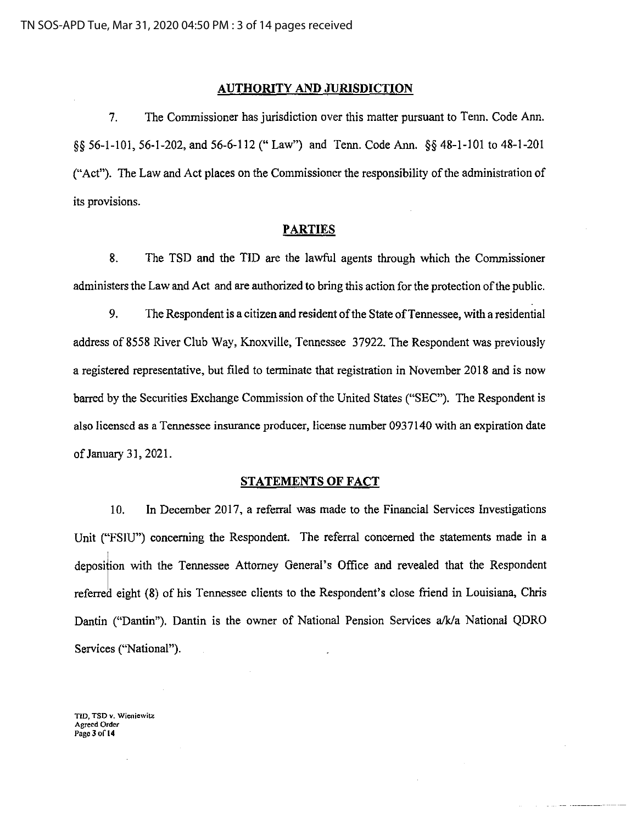### **AUTHORITY AND JURISDICTION**

7. The Commissioner has jurisdiction over this matter pursuant to Tenn. Code Ann. §§ 56-1-101,56-1-202, and 56-6-112 ("Law") and Tenn. Code Ann. §§ 48-I-101 to 48-1-201 ("Act"). The Law and Act places on the Commissioner the responsibility of the administration of its provisions.

#### **PARTIES**

8. The TSD and the TID are the lawful agents through which the Commissioner administers the Law and Act and are authorized to bring this action for the protection of the public.

9. The Respondent is a citizen and resident of the State of Tennessee, with a residential address of 8558 River Club Way, Knoxville, Tennessee 37922. The Respondent was previously a registered representative, but filed to terminate that registration in November 2018 and is now barred by the Securities Exchange Commission of the United States ("SEC"). The Respondent is also licensed as a Tennessee insurance producer, license number 0937140 with an expiration date of January 31, 2021.

#### **STATEMENTS OF FACT**

10. In December 2017, a referral was made to the Financial Services Investigations Unit ("FSIU") concerning the Respondent. The referral concerned the statements made in a deposition with the Tennessee Attorney General's Office and revealed that the Respondent referred eight (8) of his Tennessee clients to the Respondent's close friend in Louisiana, Chris Dantin ("Dantin"). Dantin is the owner of National Pension Services a/k/a National QDRO Services ("National").

**TID, TSD v. Wieniewitz Agreed Ordet**  Page 3 of 14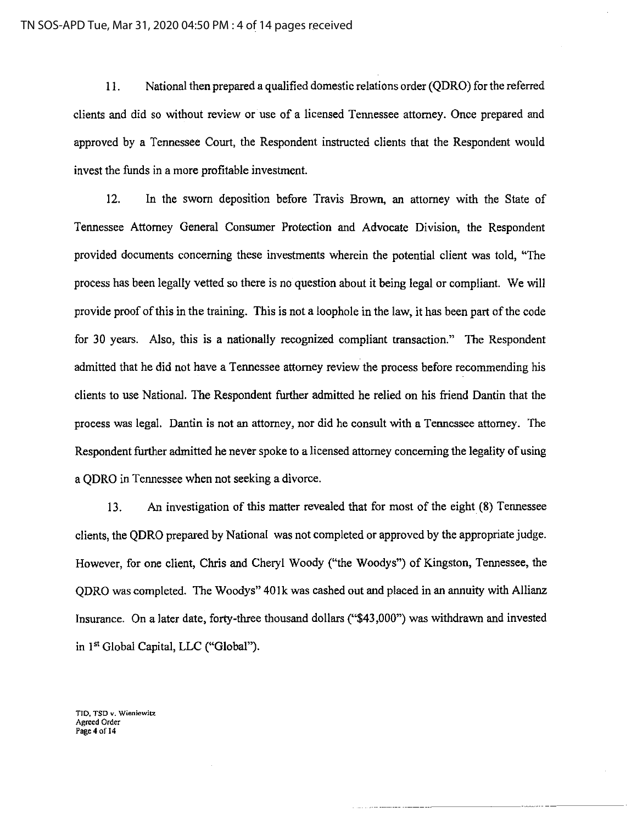II. National then prepared a qualified domestic relations order (QDRO) for the referred clients and did so without review or use of a licensed Tennessee attorney. Once prepared and approved by a Tennessee Court, the Respondent instructed clients that the Respondent would invest the funds in a more profitable investment.

12. In the sworn deposition before Travis Brown, an attorney with the State of Tennessee Attorney General Consumer Protection and Advocate Division, the Respondent provided documents concerning these investments wherein the potential client was told, "The process has been legally vetted so there is no question about it being legal or compliant. We will provide proof of this in the training. This is not a loophole in the law, it has been part of the code for 30 years. Also, this is a nationally recognized compliant transaction." The Respondent admitted that he did not have a Tennessee attorney review the process before recommending his clients to use National. The Respondent further admitted he relied on his friend Dantin that the process was legal. Dantin is not an attorney, nor did he consult with a Tennessee attorney. The Respondent further admitted he never spoke to a licensed attorney concerning the legality of using a QDRO in Tennessee when not seeking a divorce.

13. An investigation of this matter revealed that for most of the eight (8) Tennessee clients, the QDRO prepared by National was not completed or approved by the appropriate judge. However, for one client, Chris and Cheryl Woody ("the Woodys") of Kingston, Tennessee, the ODRO was completed. The Woodys" 401k was cashed out and placed in an annuity with Allianz Insurance. On a later date, forty-three thousand dollars ("\$43,000") was withdrawn and invested in 1<sup>st</sup> Global Capital, LLC ("Global").

.... -- ------------

**TID, TSD v. Wieniewitz Agreed Order**  Page 4 of 14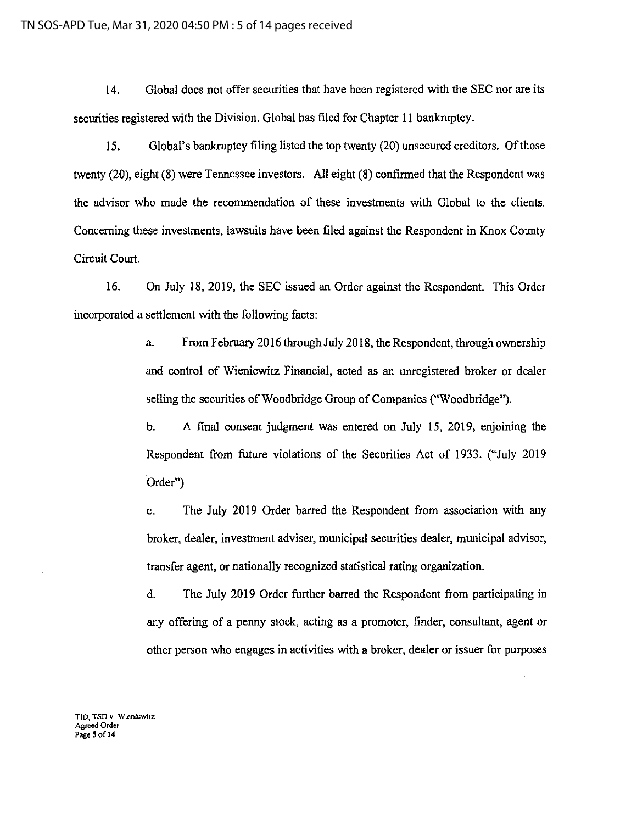14. Global does not offer securities that have been registered with the SEC nor are its securities registered with the Division. Global has filed for Chapter II bankruptcy.

15. Global's bankruptcy filing listed the top twenty (20) unsecured creditors. Of those twenty (20), eight (8) were Tennessee investors. All eight (8) confirmed that the Respondent was the advisor who made the recommendation of these investments with Global to the clients. Concerning these investments, lawsuits have been filed against the Respondent in Knox County Circuit Court.

16. On July 18, 2019, the SEC issued an Order against the Respondent. This Order incorporated a settlement with the following facts:

> a. From February 2016 through July 2018, the Respondent, through ownership and control of Wieniewitz Financial, acted as an unregistered broker or dealer selling the securities of Woodbridge Group of Companies ("Woodbridge").

> b. A final consent judgment was entered on July 15, 2019, enjoining the Respondent from future violations of the Securities Act of 1933. ("July 2019 Order")

> c. The July 2019 Order barred the Respondent from association with any broker, dealer, investment adviser, municipal securities dealer, municipal advisor, transfer agent, or nationally recognized statistical rating organization.

> d. The July 2019 Order further barred the Respondent from participating in any offering of a penny stock, acting as a promoter, finder, consultant, agent or other person who engages in activities with a broker, dealer or issuer for purposes

**TID, TSD v. Wieniewitz Agreed Order**  Page 5 of 14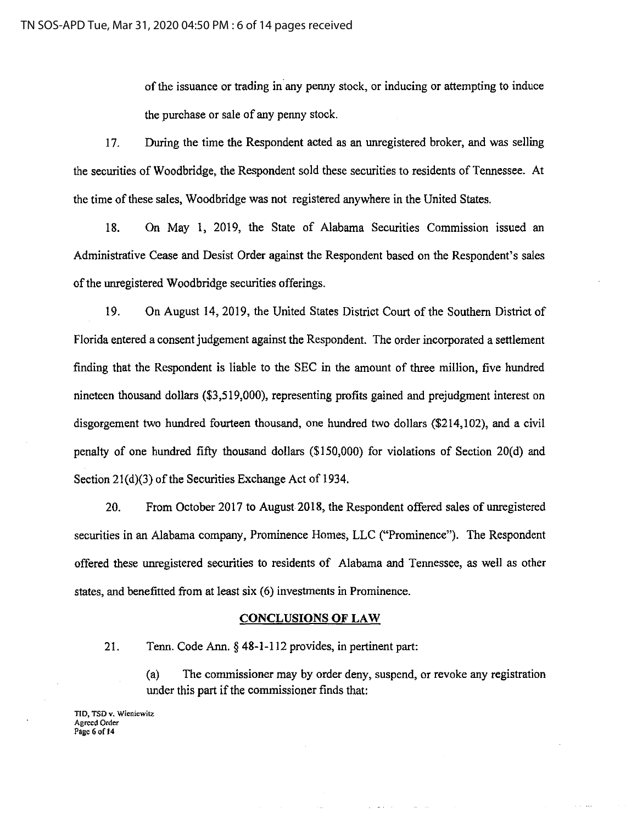of the issuance or trading in any penny stock, or inducing or attempting to induce the purchase or sale of any penny stock.

17. During the time the Respondent acted as an unregistered broker, and was selling the securities of Woodbridge, the Respondent sold these securities to residents of Tennessee. At the time of these sales, Woodbridge was not registered anywhere in the United States.

18. On May 1, 2019, the State of Alabama Securities Commission issued an Administrative Cease and Desist Order against the Respondent based on the Respondent's sales of the unregistered Woodbridge securities offerings.

19. On August 14, 2019, the United States District Court of the Southern District of Florida entered a consent judgement against the Respondent. The order incorporated a settlement finding that the Respondent is liable to the SEC in the amount of three million, five hundred nineteen thousand dollars (\$3,519,000), representing profits gained and prejudgment interest on disgorgement two hundred fourteen thousand, one hundred two dollars (\$214,102), and a civil penalty of one hundred fifty thousand dollars (\$150,000) for violations of Section 20(d) and Section 2l(d)(3) of the Securities Exchange Act of 1934.

20. From October 2017 to August 2018, the Respondent offered sales of unregistered securities in an Alabama company, Prominence Homes, LLC ("Prominence"). The Respondent offered these unregistered securities to residents of Alabama and Tennessee, as well as other states, and benefitted from at least six (6) investments in Prominence.

#### **CONCLUSIONS OF LAW**

21. Tenn. Code Ann.§ 48-1-112 provides, in pertinent part;

(a) The commissioner may by order deny, suspend, or revoke any registration under this part if the commissioner finds that:

**TID, TSD v. Wieniewitz Agreed Order Page 6 of 14**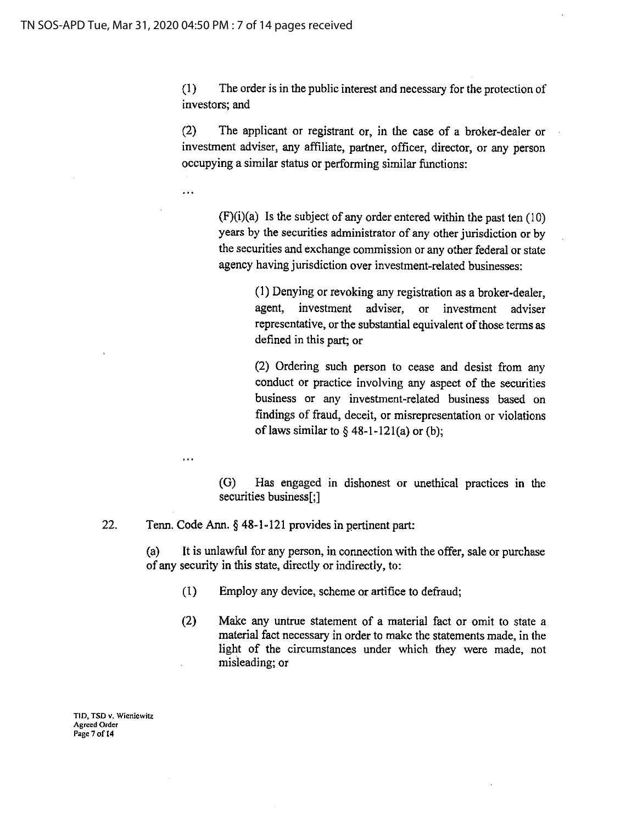$\ddotsc$ 

(1) The order is in the public interest and necessary for the protection of investors; and

(2) The applicant or registrant or, in the case of a broker-dealer or investment adviser, any affiliate, partner, officer, director, or any person occupying a similar status or performing similar functions:

 $(F)(i)(a)$  Is the subject of any order entered within the past ten  $(10)$ years by the securities administrator of any other jurisdiction or by the securities and exchange commission or any other federal or state agency having jurisdiction over investment-related businesses:

> (I) Denying or revoking any registration as a broker-dealer, agent, investment adviser, or investment adviser representative, or the substantial equivalent of those terms as defined in this part; or

> (2) Ordering such person to cease and desist from any conduct or practice involving any aspect of the securities business or any investment-related business based on findings of fraud, deceit, or misrepresentation or violations of laws similar to  $§$  48-1-121(a) or (b);

(G) Has engaged m dishonest or unethical practices in the securities business[;]

22. Tenn. Code Ann.§ 48-1-121 provides in pertinent part:

(a) It is unlawful for any person, in connection with the offer, sale or purchase of any security in this state, directly or indirectly, to:

- (1) Employ any device, scheme or artifice to defraud;
- (2) Make any untrue statement of a material fact or omit to state a material fact necessary in order to make the statements made, in the light of the circumstances under which they were made, not misleading; or

**TID, TSD v. Wicniewitz Agreed Order Page 7 ofl4**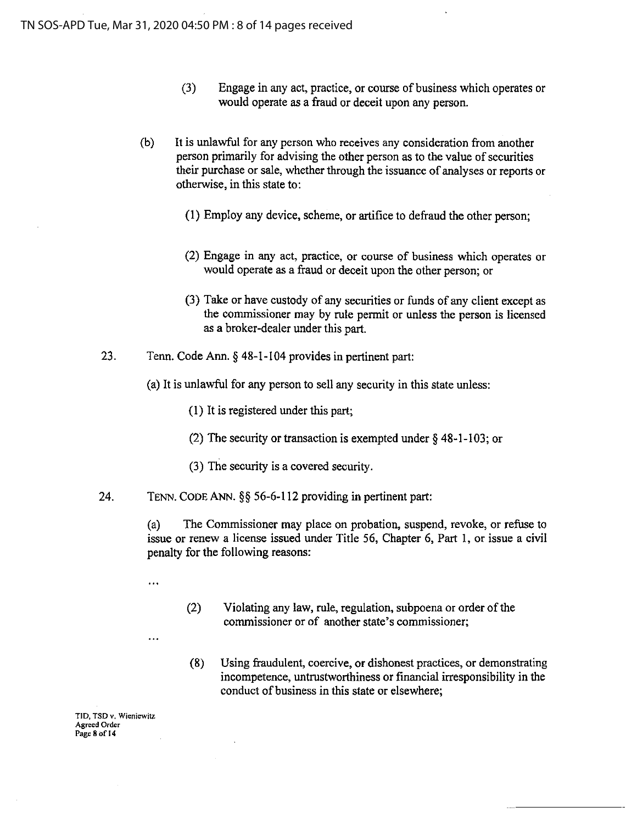- (3) Engage in any act, practice, or course of business which operates or would operate as a fraud or deceit upon any person.
- (b) It is unlawful for any person who receives any consideration from another person primarily for advising the other person as to the value of securities their purchase or sale, whether through the issuance of analyses or reports or otherwise, in this state to:
	- (1) Employ any device, scheme, or artifice to defraud the other person;
	- (2) Engage in any act, practice, or course of business which operates or would operate as a fraud or deceit upon the other person; or
	- (3) Take or have custody of any securities or funds of any client except as the commissioner may by rule permit or unless the person is licensed as a broker-dealer under this part.
- 23. Tenn. Code Ann.§ 48-1-104 provides in pertinent part:
	- (a) It is unlawful for any person to sell any security in this state unless:
		- (I) It is registered under this part;
		- (2) The security or transaction is exempted under § 48-1-103; or
		- (3) The security is a covered security.
- 24. TENN. CODE ANN.§§ 56-6-112 providing in pertinent part:

(a) The Commissioner may place on probation, suspend, revoke, or refuse to issue or renew a license issued under Title 56, Chapter 6, Part I, or issue a civil penalty for the following reasons:

. . .

. . .

- (2) Violating any law, rule, regulation, subpoena or order of the commissioner or of another state's commissioner;
- (8) Using fraudulent, coercive, or dishonest practices, or demonstrating incompetence, untrustworthiness or financial irresponsibility in the conduct of business in this state or elsewhere;

TID, **TSD v. Wieniewitz Agreed Order Page8ofl4**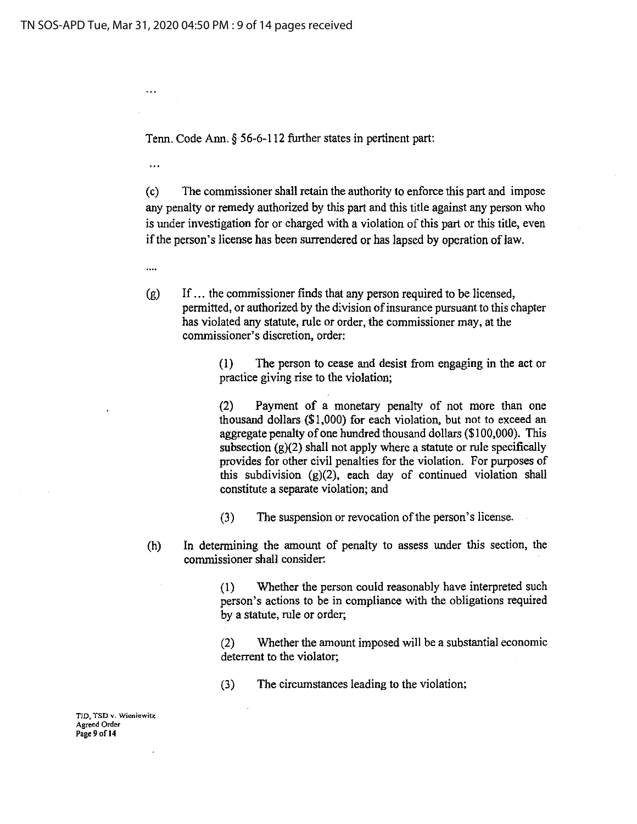$\ddotsc$ 

 $\ddotsc$ 

....

Tenn. Code Ann. § 56-6-112 further states in pertinent part:

(c) The commissioner shall retain the authority to enforce this part and impose any penalty or remedy authorized by this part and this title against any person who is under investigation for or charged with a violation of this part or this title, even if the person's license has been surrendered or has lapsed by operation of law.

(g) If ... the commissioner finds that any person required to be licensed, permitted, or authorized by the division of insurance pursuant to this chapter has violated any statute, rule or order, the commissioner may, at the commissioner's discretion, order:

> (I) The person to cease and desist from engaging in the act or practice giving rise to the violation;

> (2) Payment of a monetary penalty of not more than one thousand dollars (\$1,000) for each violation, but not to exceed an aggregate penalty of one hundred thousand dollars (\$1 00,000). This subsection  $(g)(2)$  shall not apply where a statute or rule specifically provides for other civil penalties for the violation. For purposes of this subdivision (g)(2), each day of continued violation shall constitute a separate violation; and

(3) The suspension or revocation of the person's license.

(h) In determining the amount of penalty to assess under *this* section, the commissioner shall consider:

> (I) Whether the person could reasonably have interpreted such person's actions to be in compliance with the obligations required by a statute, rule or order;

> (2) Whether the amount imposed will be a substantial economic deterrent to the violator;

(3) The circumstances leading to the violation;

**TID, TSD v. Wienicwitz Agreed Order**  Page 9 of 14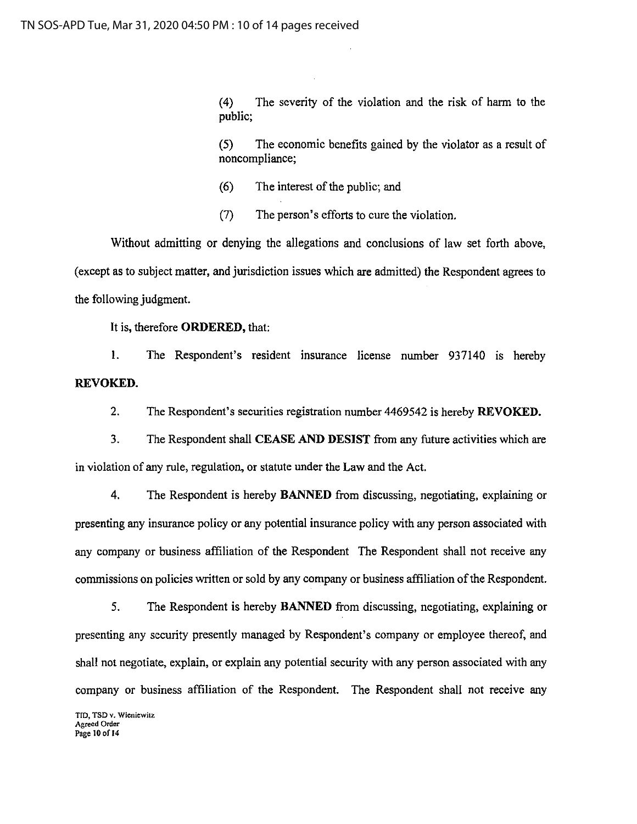( 4) The severity of the violation and the risk of harm to the public;

(5) The economic benefits gained by the violator as a result of noncompliance;

- (6) The interest of the public; and
- (7) The person's efforts to cure the violation.

Without admitting or denying the allegations and conclusions of law set forth above, (except as to subject matter, and jurisdiction issues which are admitted) the Respondent agrees to the following judgment.

It is, therefore **ORDERED,** that:

I. The Respondent's resident insurance license number 937140 is hereby **REVOKED.** 

2. The Respondent's securities registration number 4469542 is hereby **REVOKED.** 

3. The Respondent shall **CEASE AND DESIST** from any future activities which are in violation of any rule, regulation, or statute under the Law and the Act.

4. The Respondent is hereby **BANNED** from discussing, negotiating, explaining or presenting any insurance policy or any potential insurance policy with any person associated with any company or business affiliation of the Respondent The Respondent shall not receive any commissions on policies written or sold by any company or business affiliation of the Respondent.

5. The Respondent is hereby **BANNED** from discussing, negotiating, explaining or presenting any security presently managed by Respondent's company or employee thereof, and shall not negotiate, explain, or explain any potential security with any person associated with any company or business affiliation of the Respondent. The Respondent shall not receive any

**TID, TSD v. Wicniewitz Agreed Order**  Page 10 of 14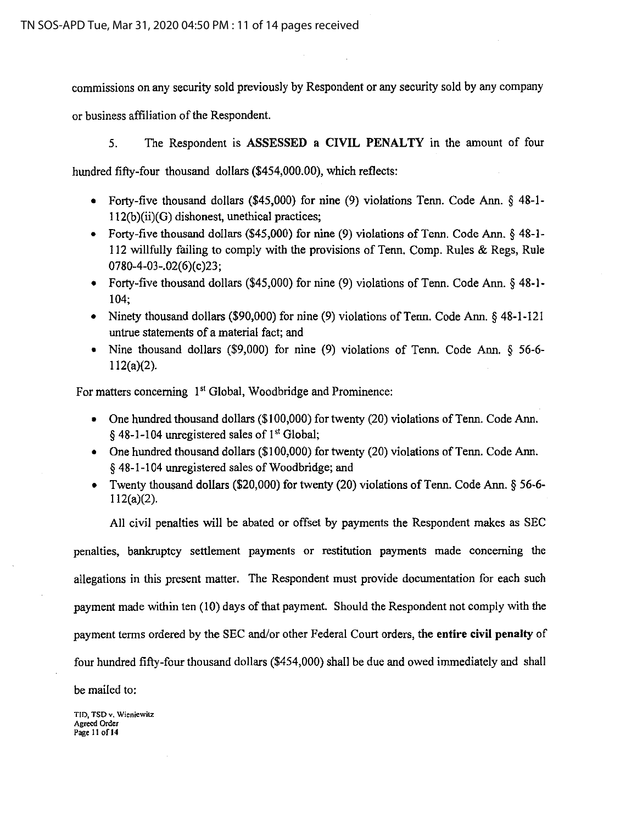commissions on any security sold previously by Respondent or any security sold by any company

or business affiliation of the Respondent.

5. The Respondent is ASSESSED a **CIVIL PENALTY** in the amount of four

hundred fifty-four thousand dollars (\$454,000.00), which reflects:

- Forty-five thousand dollars (\$45,000) for nine (9) violations Tenn. Code Ann. § 48-1- 112(b)(ii)(G) dishonest, unethical practices;
- Forty-five thousand dollars (\$45,000) for nine (9) violations of Tenn. Code Ann. § 48-1- 112 willfully failing to comply with the provisions of Tenn. Comp. Rules & Regs, Rule 0780-4-03-.02(6)(c)23;
- Forty-five thousand dollars (\$45,000) for nine (9) violations of Tenn. Code Ann. § 48-1- 104;
- Ninety thousand dollars (\$90,000) for nine (9) violations of Tenn. Code Ann. § 48-1-121 untrue statements of a material fact; and
- Nine thousand dollars (\$9,000) for nine (9) violations of Tenn. Code Ann. § 56-6- 112(a)(2).

For matters concerning 1<sup>st</sup> Global, Woodbridge and Prominence:

- One hundred thousand dollars (\$100,000) for twenty (20) violations of Tenn. Code Ann.  $§$  48-1-104 unregistered sales of 1<sup>st</sup> Global;
- One hundred thousand dollars (\$100,000) for twenty (20) violations of Tenn. Code Ann. § 48-1-104 unregistered sales of Woodbridge; and
- Twenty thousand dollars (\$20,000) for twenty (20) violations of Tenn. Code Ann. § 56-6- 112(a)(2).

All civil penalties will be abated or offset by payments the Respondent makes as SEC

penalties, bankruptcy settlement payments or restitution payments made concerning the allegations in this present matter. The Respondent must provide documentation for each such payment made within ten (10) days of that payment. Should the Respondent not comply with the payment terms ordered by the SEC and/or other Federal Court orders, the **entire civil penalty** of four hundred fifty-four thousand dollars (\$454,000) shall be due and owed immediately and shall

be mailed to:

**TID, TSD v. Wicniewitz Agreed Order**  Page 11 of 14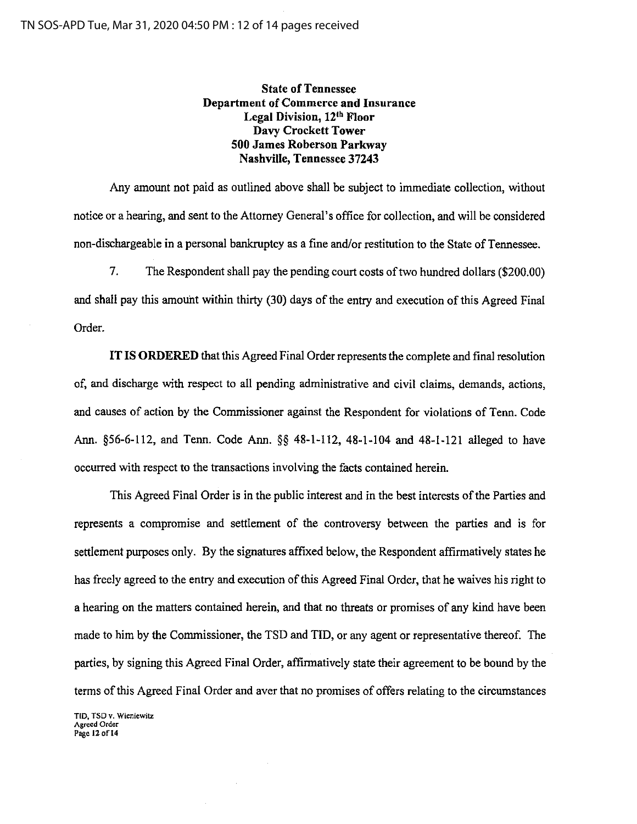# State of Tennessee Department of Commerce and Insurance Legal Division, 12<sup>th</sup> Floor Davy Crockett Tower 500 James Roberson Parkway Nashville, Tennessee 37243

Any amount not paid as outlined above shall be subject to immediate collection, without notice or a hearing, and sent to the Attorney General's office for collection, and will be considered non-dischargeable in a personal bankruptcy as a fine and/or restitution to the State of Tennessee.

7. The Respondent shall pay the pending court costs of two hundred dollars (\$200.00) and shall pay this amouht within thirty (30) days of the entry and execution of this Agreed Final Order.

IT IS ORDERED that this Agreed Final Order represents the complete and final resolution of, and discharge with respect to all pending administrative and civil claims, demands, actions, and causes of action by the Commissioner against the Respondent for violations of Tenn. Code Ann. §56-6-112, and Tenn. Code Ann. §§ 48-1-112, 48-1-104 and 48-1-121 alleged to have occurred with respect to the transactions involving the facts contained herein.

This Agreed Final Order is in the public interest and in the best interests of the Parties and represents a compromise and settlement of the controversy between the parties and is for settlement purposes only. By the signatures affixed below, the Respondent affirmatively states he has freely agreed to the entry and execution of this Agreed Final Order, that he waives his right to a hearing on the matters contained herein, and that no threats or promises of any kind have been made to him by the Commissioner, the TSD and TID, or any agent or representative thereof. The parties, by signing this Agreed Final Order, affirmatively state their agreement to be bound by the terms of this Agreed Final Order and aver that no promises of offers relating to the circumstances

TID, TSO v. Wieniewilz Agreed Order Page 12 of 14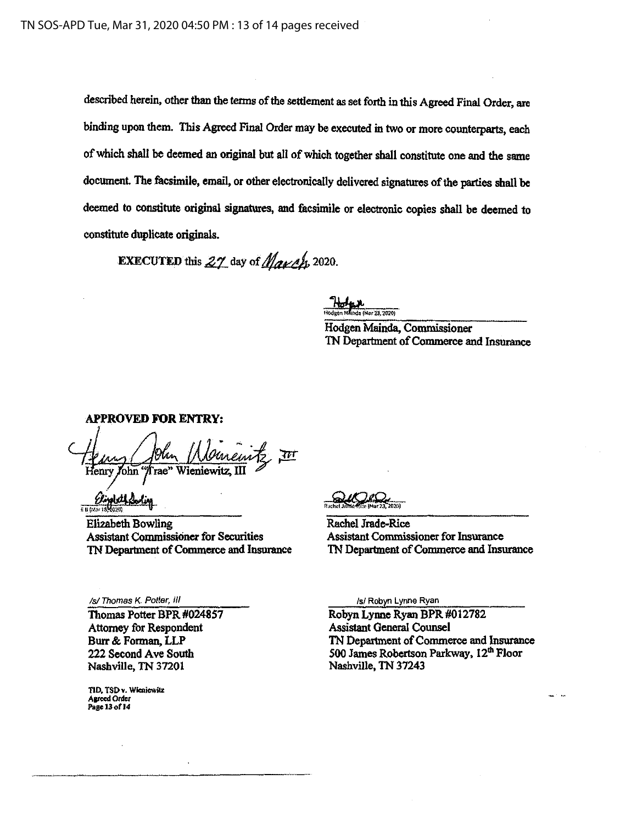described herein, other than the tenns of the settlement as set forth in this Agreed Final Order, are binding upon them. This Agreed Final Order may be executed in two or more counterparts, each of which shall be deemed an original but all of which together shall constitute one and the same document. The facsimile, email, or other electronically delivered signatures of the parties shall be deemed to constitute original signatures, and facsimile or electronic copies shall be deemed to constitute duplicate originals.

**EXECUTED** this  $27$  day of  $M$ an/h. 2020.

Holan da (Mar 23, 2020)

Hodgen Mainda, Commissioner TN Department of Commerce and Insurance

APPROVED FOR ENTRY: nemte III enry John "Trae" **Wieniewitz** 

*<u> Clipploth Loding</u>*  $E$  U (Mar 18

Elizabeth Bowling Assistant Commissioner for Securities 1N Department of Commerce and Insurance

Rachel Jrade-Rice Assistant Commissioner for Insurance 'IN Department of Commerce and Insurance

Is/ Thomas K. Potter, Ill

Thomas Potter BPR #024857 Attorney for Respondent Burr & Forman, LLP 222 Second Ave South Nashville, TN 37201

TID. TSD v. Wieniewitz Agreed Order<br>Page 13 of 14

/s/ Robyn Lynne Ryan

Robyn Lynne Ryan BPR #012782 Assistant General Counsel 'IN Department of Commerce and Insurance 500 James Robertson Parkway, 12<sup>th</sup> Floor Nashville, TN 37243